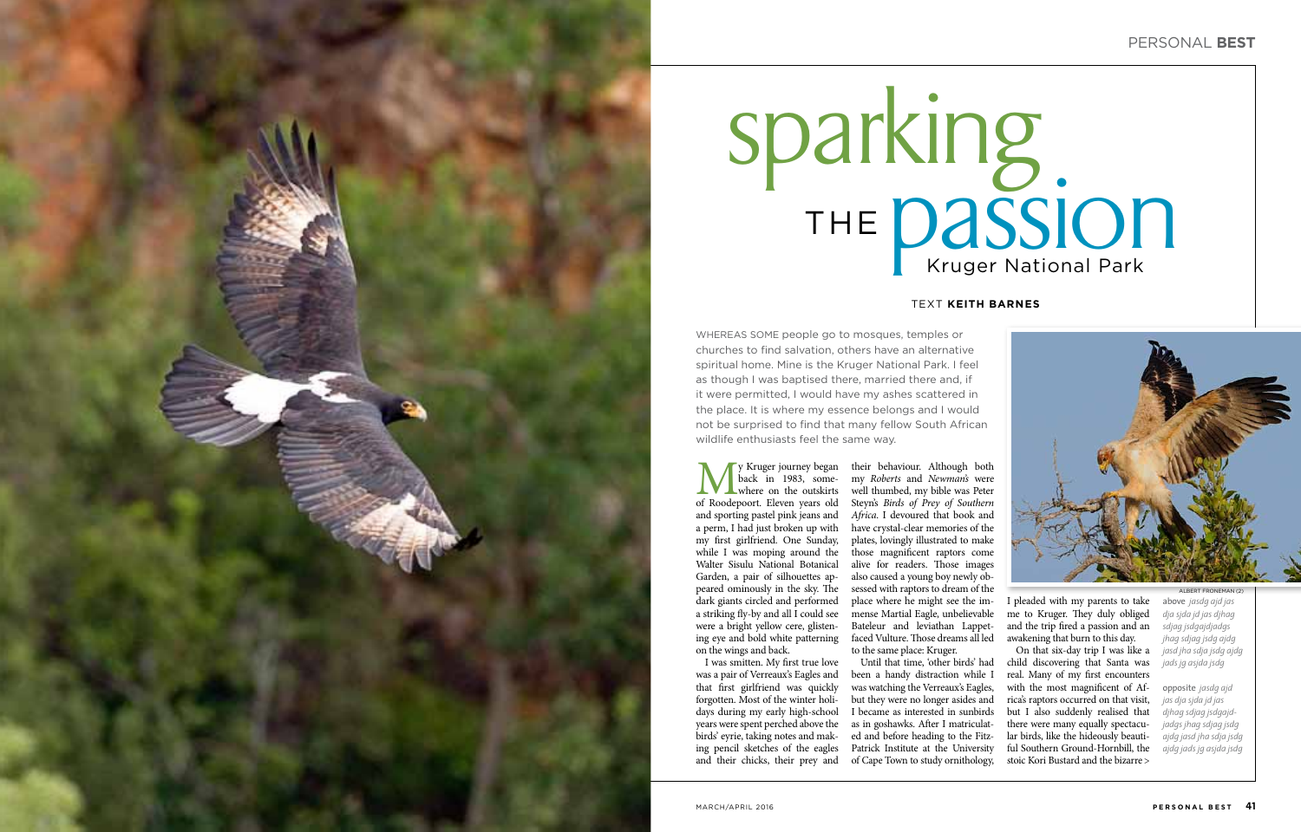



We Y Kruger journey began<br>back in 1983, some-<br>where on the outskirts<br>of Roodepoort. Eleven years old back in 1983, some where on the outskirts of Roodepoort. Eleven years old and sporting pastel pink jeans and a perm, I had just broken up with my first girlfriend. One Sunday, while I was moping around the Walter Sisulu National Botanical Garden, a pair of silhouettes ap peared ominously in the sky. The dark giants circled and performed a striking fly-by and all I could see were a bright yellow cere, glisten ing eye and bold white patterning on the wings and back.

## Kruger National Park sparking the **passion**

their behaviour. Although both my *Roberts* and *Newman's* were well thumbed, my bible was Peter Steyn's *Birds of Prey of Southern Africa*. I devoured that book and have crystal-clear memories of the plates, lovingly illustrated to make those magnificent raptors come alive for readers. Those images also caused a young boy newly ob sessed with raptors to dream of the place where he might see the im mense Martial Eagle, unbelievable Bateleur and leviathan Lappetfaced Vulture. Those dreams all led to the same place: Kruger.

I was smitten. My first true love was a pair of Verreaux's Eagles and that first girlfriend was quickly forgotten. Most of the winter holi days during my early high-school years were spent perched above the birds' eyrie, taking notes and mak ing pencil sketches of the eagles and their chicks, their prey and of Cape Town to study ornithology,

above *jasdg ajd jas dja sjda jd jas djhag sdjag jsdgajdjadgs jhag sdjag jsdg ajdg jasd jha sdja jsdg ajdg jads jg asjda jsdg* ALBERT FRONEMAN (2)

Until that time, 'other birds' had been a handy distraction while I was watching the Verreaux's Eagles, but they were no longer asides and I became as interested in sunbirds as in goshawks. After I matriculat ed and before heading to the Fitz - Patrick Institute at the University

I pleaded with my parents to take me to Kruger. They duly obliged and the trip fired a passion and an awakening that burn to this day.

On that six-day trip I was like a child discovering that Santa was real. Many of my first encounters with the most magnificent of Africa's raptors occurred on that visit, but I also suddenly realised that there were many equally spectacu lar birds, like the hideously beauti ful Southern Ground-Hornbill, the stoic Kori Bustard and the bizarre >

## Text **keith barnes**

WHEREAS some people go to mosques, temples or churches to find salvation, others have an alternative spiritual home. Mine is the Kruger National Park. I feel as though I was baptised there, married there and, if it were permitted, I would have my ashes scattered in the place. It is where my essence belongs and I would not be surprised to find that many fellow South African wildlife enthusiasts feel the same way.

> opposite *jasdg ajd jas dja sjda jd jas djhag sdjag jsdgajd jadgs jhag sdjag jsdg ajdg jasd jha sdja jsdg ajdg jads jg asjda jsdg*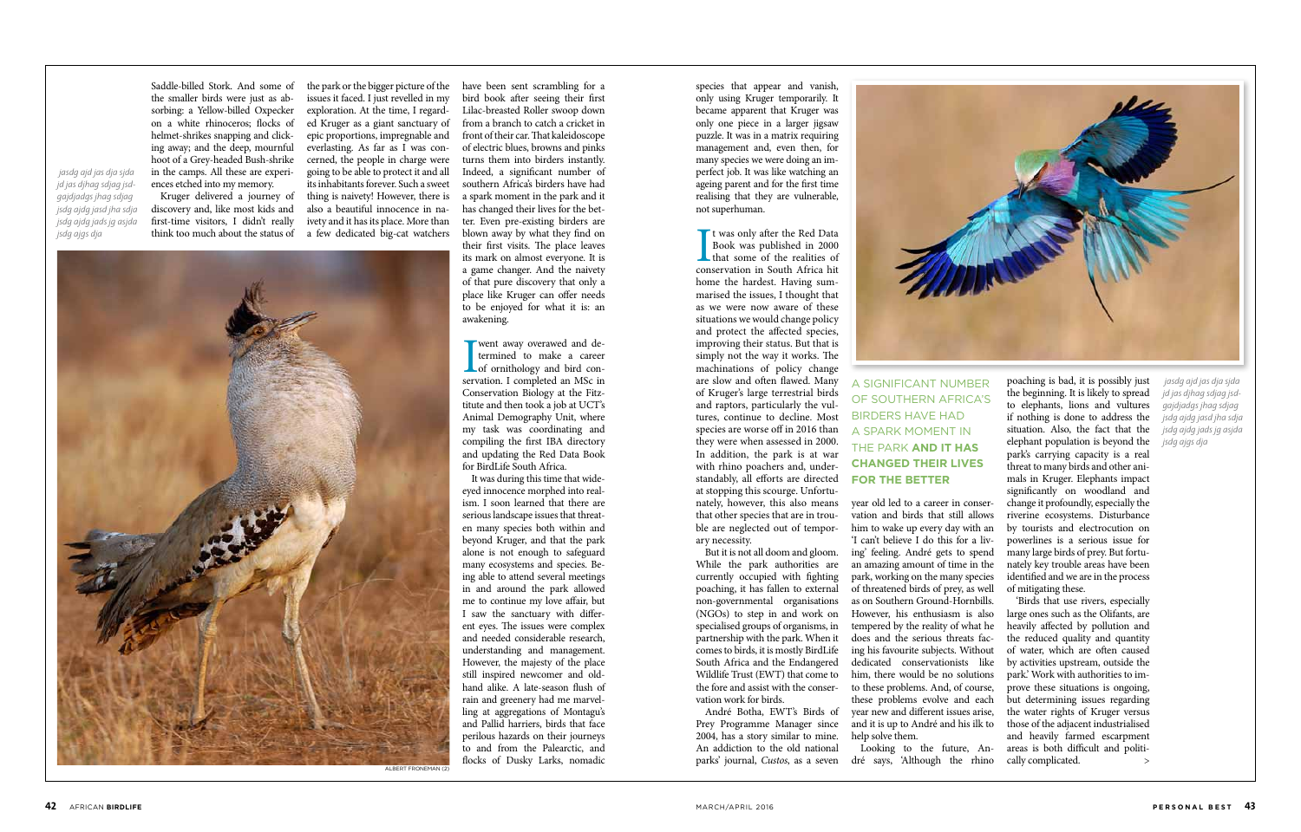Saddle-billed Stork. And some of the smaller birds were just as absorbing: a Yellow-billed Oxpecker on a white rhinoceros; flocks of helmet-shrikes snapping and clicking away; and the deep, mournful hoot of a Grey-headed Bush-shrike in the camps. All these are experiences etched into my memory.

Kruger delivered a journey of discovery and, like most kids and first-time visitors, I didn't really think too much about the status of

the park or the bigger picture of the issues it faced. I just revelled in my exploration. At the time, I regarded Kruger as a giant sanctuary of epic proportions, impregnable and everlasting. As far as I was concerned, the people in charge were going to be able to protect it and all its inhabitants forever. Such a sweet thing is naivety! However, there is also a beautiful innocence in naivety and it has its place. More than a few dedicated big-cat watchers

> **I** went away overawed and determined to make a career of ornithology and bird conservation. I completed an MSc in went away overawed and determined to make a career Let of ornithology and bird con-Conservation Biology at the Fitztitute and then took a job at UCT's Animal Demography Unit, where my task was coordinating and compiling the first IBA directory and updating the Red Data Book for BirdLife South Africa.

> have been sent scrambling for a bird book after seeing their first Lilac-breasted Roller swoop down from a branch to catch a cricket in front of their car. That kaleidoscope of electric blues, browns and pinks turns them into birders instantly. Indeed, a significant number of southern Africa's birders have had a spark moment in the park and it has changed their lives for the better. Even pre-existing birders are blown away by what they find on their first visits. The place leaves its mark on almost everyone. It is a game changer. And the naivety of that pure discovery that only a place like Kruger can offer needs to be enjoyed for what it is: an awakening.

I twas only after the Red Data<br>Book was published in 2000<br>that some of the realities of<br>conservation in South Africa hit t was only after the Red Data Book was published in 2000 **that some of the realities of** home the hardest. Having summarised the issues, I thought that as we were now aware of these situations we would change policy and protect the affected species, improving their status. But that is simply not the way it works. The machinations of policy change are slow and often flawed. Many of Kruger's large terrestrial birds and raptors, particularly the vultures, continue to decline. Most species are worse off in 2016 than they were when assessed in 2000. In addition, the park is at war with rhino poachers and, understandably, all efforts are directed at stopping this scourge. Unfortunately, however, this also means that other species that are in trouble are neglected out of temporary necessity.

It was during this time that wideeyed innocence morphed into realism. I soon learned that there are serious landscape issues that threaten many species both within and beyond Kruger, and that the park alone is not enough to safeguard many ecosystems and species. Being able to attend several meetings in and around the park allowed me to continue my love affair, but I saw the sanctuary with different eyes. The issues were complex and needed considerable research, understanding and management. However, the majesty of the place still inspired newcomer and oldhand alike. A late-season flush of rain and greenery had me marvelling at aggregations of Montagu's and Pallid harriers, birds that face perilous hazards on their journeys to and from the Palearctic, and flocks of Dusky Larks, nomadic

species that appear and vanish, only using Kruger temporarily. It became apparent that Kruger was only one piece in a larger jigsaw puzzle. It was in a matrix requiring management and, even then, for many species we were doing an imperfect job. It was like watching an ageing parent and for the first time realising that they are vulnerable, not superhuman.

> 'Birds that use rivers, especially large ones such as the Olifants, are heavily affected by pollution and the reduced quality and quantity of water, which are often caused by activities upstream, outside the park.' Work with authorities to improve these situations is ongoing, but determining issues regarding the water rights of Kruger versus those of the adjacent industrialised and heavily farmed escarpment areas is both difficult and politically complicated.

But it is not all doom and gloom. While the park authorities are currently occupied with fighting poaching, it has fallen to external non-governmental organisations (NGOs) to step in and work on specialised groups of organisms, in partnership with the park. When it comes to birds, it is mostly BirdLife South Africa and the Endangered Wildlife Trust (EWT) that come to the fore and assist with the conservation work for birds.

André Botha, EWT's Birds of Prey Programme Manager since 2004, has a story similar to mine. An addiction to the old national



parks' journal, *Custos*, as a seven dré says, 'Although the rhino Looking to the future, An-



year old led to a career in conservation and birds that still allows him to wake up every day with an 'I can't believe I do this for a living' feeling. André gets to spend an amazing amount of time in the park, working on the many species of threatened birds of prey, as well as on Southern Ground-Hornbills. However, his enthusiasm is also tempered by the reality of what he does and the serious threats facing his favourite subjects. Without dedicated conservationists like him, there would be no solutions to these problems. And, of course, these problems evolve and each year new and different issues arise, and it is up to André and his ilk to help solve them.

poaching is bad, it is possibly just the beginning. It is likely to spread to elephants, lions and vultures if nothing is done to address the situation. Also, the fact that the elephant population is beyond the park's carrying capacity is a real threat to many birds and other animals in Kruger. Elephants impact significantly on woodland and change it profoundly, especially the riverine ecosystems. Disturbance by tourists and electrocution on powerlines is a serious issue for many large birds of prey. But fortunately key trouble areas have been identified and we are in the process of mitigating these.

 *jasdg ajd jas dja sjda jd jas djhag sdjag jsdgajdjadgs jhag sdjag jsdg ajdg jasd jha sdja jsdg ajdg jads jg asjda jsdg ajgs dja*

> a significant number of southern Africa's birders have had a spark moment in the park **and it has changed their lives for the better**

 *jasdg ajd jas dja sjda jd jas djhag sdjag jsdgajdjadgs jhag sdjag jsdg ajdg jasd jha sdja jsdg ajdg jads jg asjda jsdg ajgs dja*

albert froneman (2)